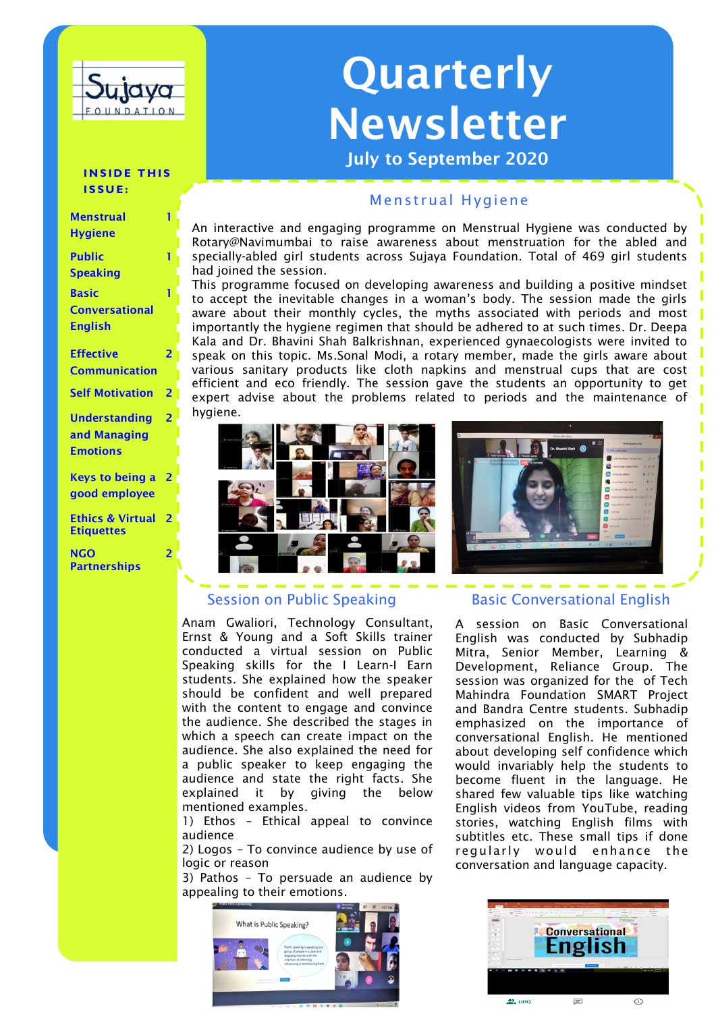

# Quarterly Newsletter

July to September 2020

#### **INSIDE THIS I S S U E :**

| <b>Menstrual</b>         |                |
|--------------------------|----------------|
| <b>Hygiene</b>           |                |
| <b>Public</b>            |                |
| <b>Speaking</b>          |                |
| <b>Basic</b>             |                |
| <b>Conversational</b>    |                |
| <b>English</b>           |                |
| <b>Effective</b>         | $\overline{2}$ |
| <b>Communication</b>     |                |
| <b>Self Motivation</b>   | $\overline{2}$ |
| <b>Understanding</b>     | $\overline{2}$ |
| and Managing             |                |
| <b>Emotions</b>          |                |
|                          |                |
| <b>Keys to being a</b> 2 |                |
| good employee            |                |
|                          |                |

Ethics & Virtual **Etiquettes** 2

2

**NGO Partnerships** 

## Menstrual Hygiene

An interactive and engaging programme on Menstrual Hygiene was conducted by Rotary@Navimumbai to raise awareness about menstruation for the abled and specially-abled girl students across Sujaya Foundation. Total of 469 girl students had joined the session.

This programme focused on developing awareness and building a positive mindset to accept the inevitable changes in a woman's body. The session made the girls aware about their monthly cycles, the myths associated with periods and most importantly the hygiene regimen that should be adhered to at such times. Dr. Deepa Kala and Dr. Bhavini Shah Balkrishnan, experienced gynaecologists were invited to speak on this topic. Ms.Sonal Modi, a rotary member, made the girls aware about various sanitary products like cloth napkins and menstrual cups that are cost efficient and eco friendly. The session gave the students an opportunity to get expert advise about the problems related to periods and the maintenance of hygiene.



# Session on Public Speaking

Anam Gwaliori, Technology Consultant, Ernst & Young and a Soft Skills trainer conducted a virtual session on Public Speaking skills for the I Learn-I Earn students. She explained how the speaker should be confident and well prepared with the content to engage and convince the audience. She described the stages in which a speech can create impact on the audience. She also explained the need for a public speaker to keep engaging the audience and state the right facts. She explained it by giving the below mentioned examples.

1) Ethos – Ethical appeal to convince audience

2) Logos – To convince audience by use of logic or reason

3) Pathos – To persuade an audience by appealing to their emotions.





# Basic Conversational English

A session on Basic Conversational English was conducted by Subhadip Mitra, Senior Member, Learning & Development, Reliance Group. The session was organized for the of Tech Mahindra Foundation SMART Project and Bandra Centre students. Subhadip emphasized on the importance of conversational English. He mentioned about developing self confidence which would invariably help the students to become fluent in the language. He shared few valuable tips like watching English videos from YouTube, reading stories, watching English films with subtitles etc. These small tips if done regularly would enhance the conversation and language capacity.